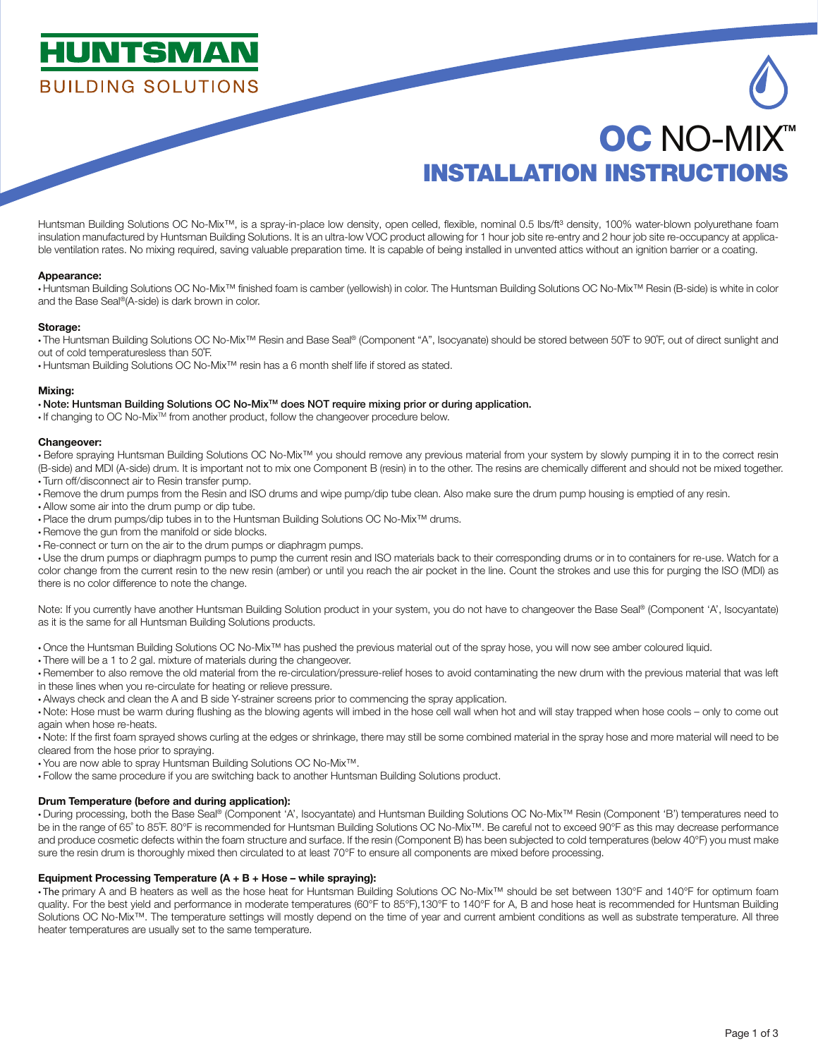## **HUNTSMA BUILDING SOLUTIONS**

# INSTALLATION INSTRUCTIONS **OC NO-MIXT**

Huntsman Building Solutions OC No-Mix™, is a spray-in-place low density, open celled, flexible, nominal 0.5 lbs/ft<sup>3</sup> density, 100% water-blown polyurethane foam insulation manufactured by Huntsman Building Solutions. It is an ultra-low VOC product allowing for 1 hour job site re-entry and 2 hour job site re-occupancy at applicable ventilation rates. No mixing required, saving valuable preparation time. It is capable of being installed in unvented attics without an ignition barrier or a coating.

#### Appearance:

• Huntsman Building Solutions OC No-Mix™ finished foam is camber (yellowish) in color. The Huntsman Building Solutions OC No-Mix™ Resin (B-side) is white in color and the Base Seal®(A-side) is dark brown in color.

#### Storage:

• The Huntsman Building Solutions OC No-Mix™ Resin and Base Seal® (Component "A", Isocyanate) should be stored between 50˚F to 90˚F, out of direct sunlight and out of cold temperaturesless than 50˚F.

• Huntsman Building Solutions OC No-Mix™ resin has a 6 month shelf life if stored as stated.

#### Mixing:

### • Note: Huntsman Building Solutions OC No-MixTM does NOT require mixing prior or during application.

• If changing to OC No-Mix<sup>TM</sup> from another product, follow the changeover procedure below.

#### Changeover:

• Before spraying Huntsman Building Solutions OC No-Mix™ you should remove any previous material from your system by slowly pumping it in to the correct resin (B-side) and MDI (A-side) drum. It is important not to mix one Component B (resin) in to the other. The resins are chemically different and should not be mixed together.

- Turn off/disconnect air to Resin transfer pump.
- Remove the drum pumps from the Resin and ISO drums and wipe pump/dip tube clean. Also make sure the drum pump housing is emptied of any resin.
- Allow some air into the drum pump or dip tube.

• Place the drum pumps/dip tubes in to the Huntsman Building Solutions OC No-Mix™ drums.

- Remove the gun from the manifold or side blocks.
- Re-connect or turn on the air to the drum pumps or diaphragm pumps.

• Use the drum pumps or diaphragm pumps to pump the current resin and ISO materials back to their corresponding drums or in to containers for re-use. Watch for a color change from the current resin to the new resin (amber) or until you reach the air pocket in the line. Count the strokes and use this for purging the ISO (MDI) as there is no color difference to note the change.

Note: If you currently have another Huntsman Building Solution product in your system, you do not have to changeover the Base Seal® (Component 'A', Isocyantate) as it is the same for all Huntsman Building Solutions products.

• Once the Huntsman Building Solutions OC No-Mix™ has pushed the previous material out of the spray hose, you will now see amber coloured liquid.

- There will be a 1 to 2 gal. mixture of materials during the changeover.
- Remember to also remove the old material from the re-circulation/pressure-relief hoses to avoid contaminating the new drum with the previous material that was left
- in these lines when you re-circulate for heating or relieve pressure.
- Always check and clean the A and B side Y-strainer screens prior to commencing the spray application.

• Note: Hose must be warm during flushing as the blowing agents will imbed in the hose cell wall when hot and will stay trapped when hose cools – only to come out again when hose re-heats.

• Note: If the first foam sprayed shows curling at the edges or shrinkage, there may still be some combined material in the spray hose and more material will need to be cleared from the hose prior to spraying.

• You are now able to spray Huntsman Building Solutions OC No-Mix™.

• Follow the same procedure if you are switching back to another Huntsman Building Solutions product.

#### Drum Temperature (before and during application):

• During processing, both the Base Seal® (Component 'A', Isocyantate) and Huntsman Building Solutions OC No-Mix™ Resin (Component 'B') temperatures need to be in the range of 65˚ to 85˚F. 80°F is recommended for Huntsman Building Solutions OC No-Mix™. Be careful not to exceed 90°F as this may decrease performance and produce cosmetic defects within the foam structure and surface. If the resin (Component B) has been subjected to cold temperatures (below 40°F) you must make sure the resin drum is thoroughly mixed then circulated to at least 70°F to ensure all components are mixed before processing.

#### Equipment Processing Temperature (A + B + Hose – while spraying):

• The primary A and B heaters as well as the hose heat for Huntsman Building Solutions OC No-Mix™ should be set between 130°F and 140°F for optimum foam quality. For the best yield and performance in moderate temperatures (60°F to 85°F),130°F to 140°F for A, B and hose heat is recommended for Huntsman Building Solutions OC No-Mix™. The temperature settings will mostly depend on the time of year and current ambient conditions as well as substrate temperature. All three heater temperatures are usually set to the same temperature.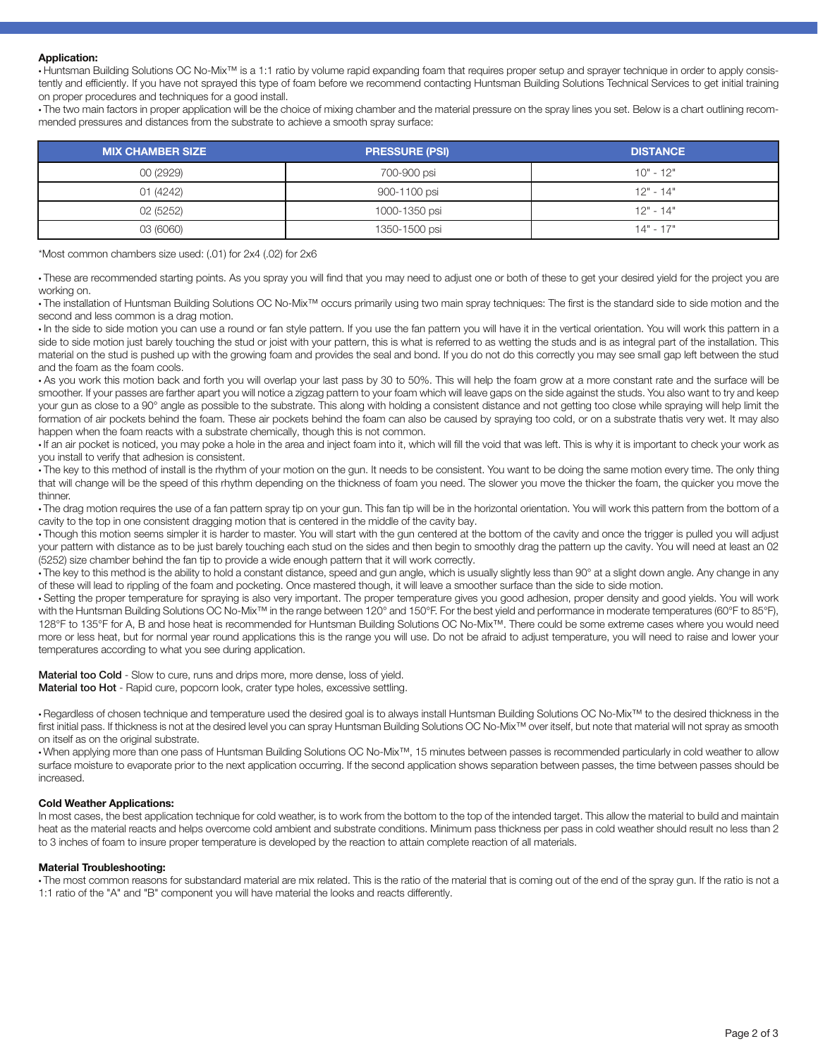#### Application:

• Huntsman Building Solutions OC No-Mix™ is a 1:1 ratio by volume rapid expanding foam that requires proper setup and sprayer technique in order to apply consistently and efficiently. If you have not sprayed this type of foam before we recommend contacting Huntsman Building Solutions Technical Services to get initial training on proper procedures and techniques for a good install.

• The two main factors in proper application will be the choice of mixing chamber and the material pressure on the spray lines you set. Below is a chart outlining recommended pressures and distances from the substrate to achieve a smooth spray surface:

| <b>MIX CHAMBER SIZE</b> | <b>PRESSURE (PSI)</b> | <b>DISTANCE</b> |
|-------------------------|-----------------------|-----------------|
| 00 (2929)               | 700-900 psi           | $10" - 12"$     |
| 01 (4242)               | 900-1100 psi          | $12" - 14"$     |
| 02 (5252)               | 1000-1350 psi         | $12" - 14"$     |
| 03 (6060)               | 1350-1500 psi         | $14" - 17"$     |

\*Most common chambers size used: (.01) for 2x4 (.02) for 2x6

• These are recommended starting points. As you spray you will find that you may need to adjust one or both of these to get your desired yield for the project you are working on.

• The installation of Huntsman Building Solutions OC No-Mix™ occurs primarily using two main spray techniques: The first is the standard side to side motion and the second and less common is a drag motion.

• In the side to side motion you can use a round or fan style pattern. If you use the fan pattern you will have it in the vertical orientation. You will work this pattern in a side to side motion just barely touching the stud or joist with your pattern, this is what is referred to as wetting the studs and is as integral part of the installation. This material on the stud is pushed up with the growing foam and provides the seal and bond. If you do not do this correctly you may see small gap left between the stud and the foam as the foam cools.

• As you work this motion back and forth you will overlap your last pass by 30 to 50%. This will help the foam grow at a more constant rate and the surface will be smoother. If your passes are farther apart you will notice a zigzag pattern to your foam which will leave gaps on the side against the studs. You also want to try and keep your gun as close to a 90° angle as possible to the substrate. This along with holding a consistent distance and not getting too close while spraying will help limit the formation of air pockets behind the foam. These air pockets behind the foam can also be caused by spraying too cold, or on a substrate thatis very wet. It may also happen when the foam reacts with a substrate chemically, though this is not common.

• If an air pocket is noticed, you may poke a hole in the area and inject foam into it, which will fill the void that was left. This is why it is important to check your work as you install to verify that adhesion is consistent.

• The key to this method of install is the rhythm of your motion on the gun. It needs to be consistent. You want to be doing the same motion every time. The only thing that will change will be the speed of this rhythm depending on the thickness of foam you need. The slower you move the thicker the foam, the quicker you move the thinner.

• The drag motion requires the use of a fan pattern spray tip on your gun. This fan tip will be in the horizontal orientation. You will work this pattern from the bottom of a cavity to the top in one consistent dragging motion that is centered in the middle of the cavity bay.

• Though this motion seems simpler it is harder to master. You will start with the gun centered at the bottom of the cavity and once the trigger is pulled you will adjust your pattern with distance as to be just barely touching each stud on the sides and then begin to smoothly drag the pattern up the cavity. You will need at least an 02 (5252) size chamber behind the fan tip to provide a wide enough pattern that it will work correctly.

• The key to this method is the ability to hold a constant distance, speed and gun angle, which is usually slightly less than 90° at a slight down angle. Any change in any of these will lead to rippling of the foam and pocketing. Once mastered though, it will leave a smoother surface than the side to side motion.

• Setting the proper temperature for spraying is also very important. The proper temperature gives you good adhesion, proper density and good yields. You will work with the Huntsman Building Solutions OC No-Mix™ in the range between 120° and 150°F. For the best yield and performance in moderate temperatures (60°F to 85°F), 128°F to 135°F for A, B and hose heat is recommended for Huntsman Building Solutions OC No-Mix™. There could be some extreme cases where you would need more or less heat, but for normal year round applications this is the range you will use. Do not be afraid to adjust temperature, you will need to raise and lower your temperatures according to what you see during application.

Material too Cold - Slow to cure, runs and drips more, more dense, loss of yield. Material too Hot - Rapid cure, popcorn look, crater type holes, excessive settling.

• Regardless of chosen technique and temperature used the desired goal is to always install Huntsman Building Solutions OC No-Mix™ to the desired thickness in the first initial pass. If thickness is not at the desired level you can spray Huntsman Building Solutions OC No-Mix™ over itself, but note that material will not spray as smooth on itself as on the original substrate.

• When applying more than one pass of Huntsman Building Solutions OC No-Mix™, 15 minutes between passes is recommended particularly in cold weather to allow surface moisture to evaporate prior to the next application occurring. If the second application shows separation between passes, the time between passes should be increased.

#### Cold Weather Applications:

In most cases, the best application technique for cold weather, is to work from the bottom to the top of the intended target. This allow the material to build and maintain heat as the material reacts and helps overcome cold ambient and substrate conditions. Minimum pass thickness per pass in cold weather should result no less than 2 to 3 inches of foam to insure proper temperature is developed by the reaction to attain complete reaction of all materials.

#### Material Troubleshooting:

• The most common reasons for substandard material are mix related. This is the ratio of the material that is coming out of the end of the spray gun. If the ratio is not a 1:1 ratio of the "A" and "B" component you will have material the looks and reacts differently.